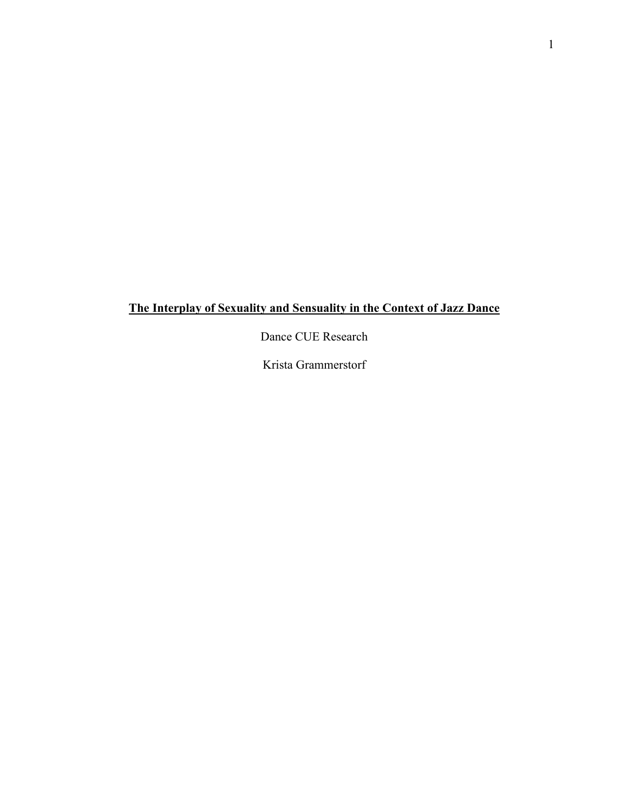# **The Interplay of Sexuality and Sensuality in the Context of Jazz Dance**

Dance CUE Research

Krista Grammerstorf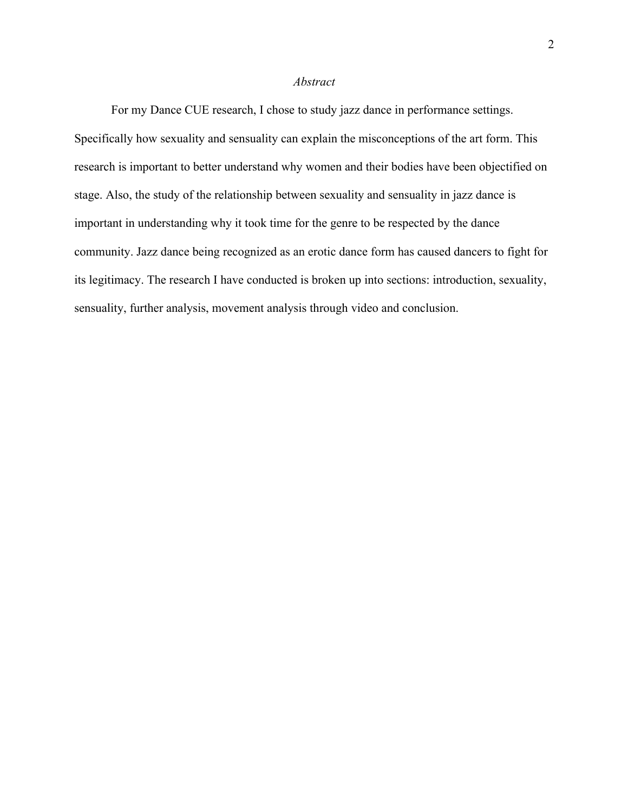### *Abstract*

For my Dance CUE research, I chose to study jazz dance in performance settings. Specifically how sexuality and sensuality can explain the misconceptions of the art form. This research is important to better understand why women and their bodies have been objectified on stage. Also, the study of the relationship between sexuality and sensuality in jazz dance is important in understanding why it took time for the genre to be respected by the dance community. Jazz dance being recognized as an erotic dance form has caused dancers to fight for its legitimacy. The research I have conducted is broken up into sections: introduction, sexuality, sensuality, further analysis, movement analysis through video and conclusion.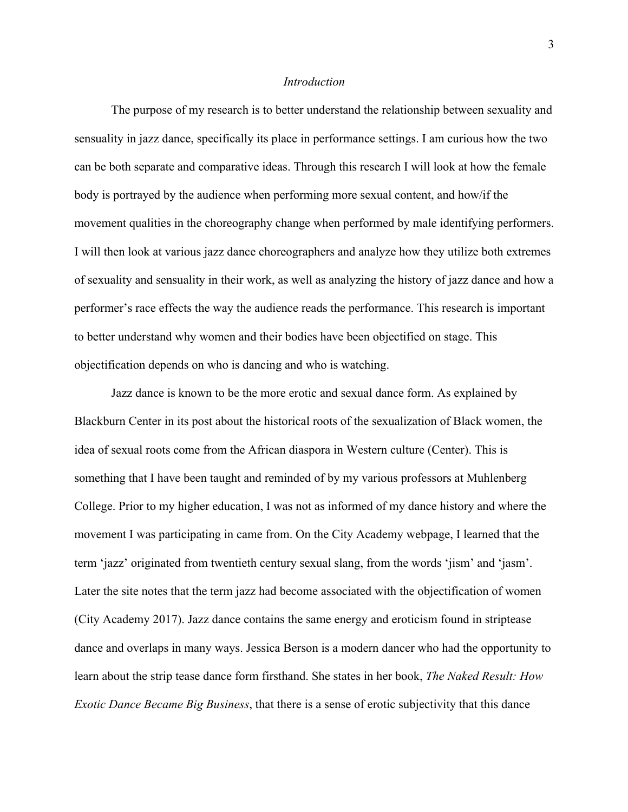## *Introduction*

The purpose of my research is to better understand the relationship between sexuality and sensuality in jazz dance, specifically its place in performance settings. I am curious how the two can be both separate and comparative ideas. Through this research I will look at how the female body is portrayed by the audience when performing more sexual content, and how/if the movement qualities in the choreography change when performed by male identifying performers. I will then look at various jazz dance choreographers and analyze how they utilize both extremes of sexuality and sensuality in their work, as well as analyzing the history of jazz dance and how a performer's race effects the way the audience reads the performance. This research is important to better understand why women and their bodies have been objectified on stage. This objectification depends on who is dancing and who is watching.

Jazz dance is known to be the more erotic and sexual dance form. As explained by Blackburn Center in its post about the historical roots of the sexualization of Black women, the idea of sexual roots come from the African diaspora in Western culture (Center). This is something that I have been taught and reminded of by my various professors at Muhlenberg College. Prior to my higher education, I was not as informed of my dance history and where the movement I was participating in came from. On the City Academy webpage, I learned that the term 'jazz' originated from twentieth century sexual slang, from the words 'jism' and 'jasm'. Later the site notes that the term jazz had become associated with the objectification of women (City Academy 2017). Jazz dance contains the same energy and eroticism found in striptease dance and overlaps in many ways. Jessica Berson is a modern dancer who had the opportunity to learn about the strip tease dance form firsthand. She states in her book, *The Naked Result: How Exotic Dance Became Big Business*, that there is a sense of erotic subjectivity that this dance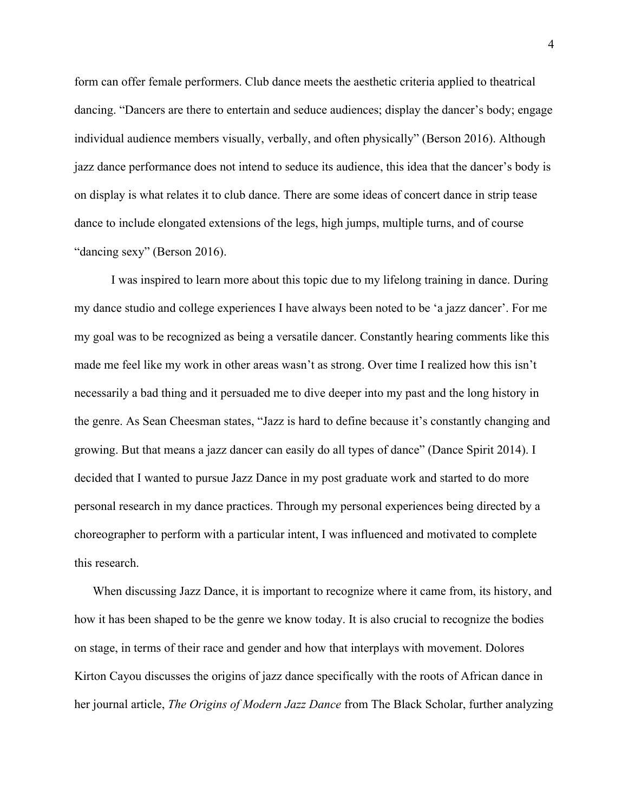form can offer female performers. Club dance meets the aesthetic criteria applied to theatrical dancing. "Dancers are there to entertain and seduce audiences; display the dancer's body; engage individual audience members visually, verbally, and often physically" (Berson 2016). Although jazz dance performance does not intend to seduce its audience, this idea that the dancer's body is on display is what relates it to club dance. There are some ideas of concert dance in strip tease dance to include elongated extensions of the legs, high jumps, multiple turns, and of course "dancing sexy" (Berson 2016).

I was inspired to learn more about this topic due to my lifelong training in dance. During my dance studio and college experiences I have always been noted to be 'a jazz dancer'. For me my goal was to be recognized as being a versatile dancer. Constantly hearing comments like this made me feel like my work in other areas wasn't as strong. Over time I realized how this isn't necessarily a bad thing and it persuaded me to dive deeper into my past and the long history in the genre. As Sean Cheesman states, "Jazz is hard to define because it's constantly changing and growing. But that means a jazz dancer can easily do all types of dance" (Dance Spirit 2014). I decided that I wanted to pursue Jazz Dance in my post graduate work and started to do more personal research in my dance practices. Through my personal experiences being directed by a choreographer to perform with a particular intent, I was influenced and motivated to complete this research.

When discussing Jazz Dance, it is important to recognize where it came from, its history, and how it has been shaped to be the genre we know today. It is also crucial to recognize the bodies on stage, in terms of their race and gender and how that interplays with movement. Dolores Kirton Cayou discusses the origins of jazz dance specifically with the roots of African dance in her journal article, *The Origins of Modern Jazz Dance* from The Black Scholar, further analyzing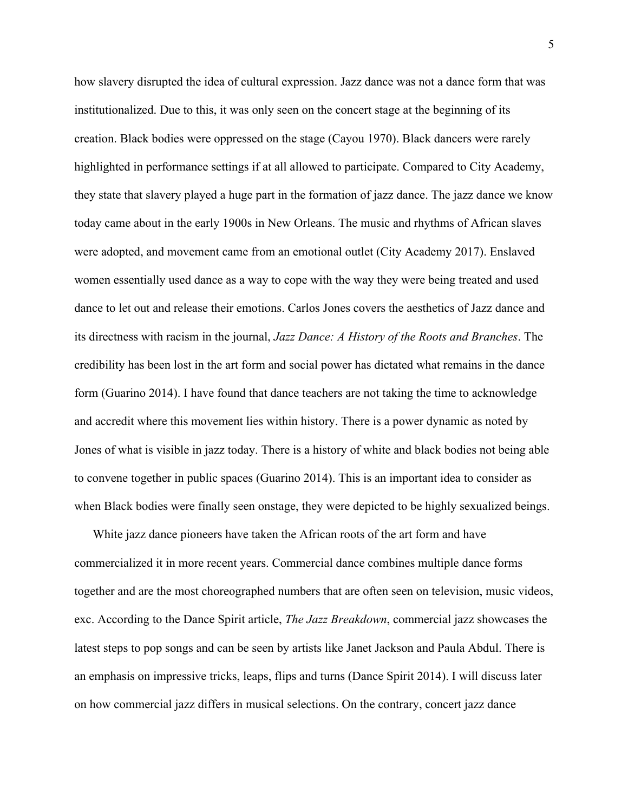how slavery disrupted the idea of cultural expression. Jazz dance was not a dance form that was institutionalized. Due to this, it was only seen on the concert stage at the beginning of its creation. Black bodies were oppressed on the stage (Cayou 1970). Black dancers were rarely highlighted in performance settings if at all allowed to participate. Compared to City Academy, they state that slavery played a huge part in the formation of jazz dance. The jazz dance we know today came about in the early 1900s in New Orleans. The music and rhythms of African slaves were adopted, and movement came from an emotional outlet (City Academy 2017). Enslaved women essentially used dance as a way to cope with the way they were being treated and used dance to let out and release their emotions. Carlos Jones covers the aesthetics of Jazz dance and its directness with racism in the journal, *Jazz Dance: A History of the Roots and Branches*. The credibility has been lost in the art form and social power has dictated what remains in the dance form (Guarino 2014). I have found that dance teachers are not taking the time to acknowledge and accredit where this movement lies within history. There is a power dynamic as noted by Jones of what is visible in jazz today. There is a history of white and black bodies not being able to convene together in public spaces (Guarino 2014). This is an important idea to consider as when Black bodies were finally seen onstage, they were depicted to be highly sexualized beings.

White jazz dance pioneers have taken the African roots of the art form and have commercialized it in more recent years. Commercial dance combines multiple dance forms together and are the most choreographed numbers that are often seen on television, music videos, exc. According to the Dance Spirit article, *The Jazz Breakdown*, commercial jazz showcases the latest steps to pop songs and can be seen by artists like Janet Jackson and Paula Abdul. There is an emphasis on impressive tricks, leaps, flips and turns (Dance Spirit 2014). I will discuss later on how commercial jazz differs in musical selections. On the contrary, concert jazz dance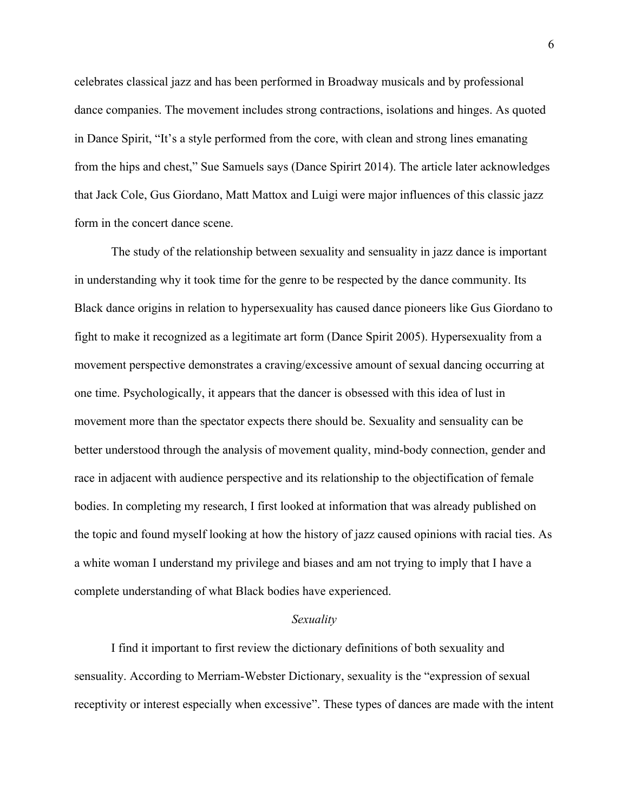celebrates classical jazz and has been performed in Broadway musicals and by professional dance companies. The movement includes strong contractions, isolations and hinges. As quoted in Dance Spirit, "It's a style performed from the core, with clean and strong lines emanating from the hips and chest," Sue Samuels says (Dance Spirirt 2014). The article later acknowledges that Jack Cole, Gus Giordano, Matt Mattox and Luigi were major influences of this classic jazz form in the concert dance scene.

The study of the relationship between sexuality and sensuality in jazz dance is important in understanding why it took time for the genre to be respected by the dance community. Its Black dance origins in relation to hypersexuality has caused dance pioneers like Gus Giordano to fight to make it recognized as a legitimate art form (Dance Spirit 2005). Hypersexuality from a movement perspective demonstrates a craving/excessive amount of sexual dancing occurring at one time. Psychologically, it appears that the dancer is obsessed with this idea of lust in movement more than the spectator expects there should be. Sexuality and sensuality can be better understood through the analysis of movement quality, mind-body connection, gender and race in adjacent with audience perspective and its relationship to the objectification of female bodies. In completing my research, I first looked at information that was already published on the topic and found myself looking at how the history of jazz caused opinions with racial ties. As a white woman I understand my privilege and biases and am not trying to imply that I have a complete understanding of what Black bodies have experienced.

## *Sexuality*

I find it important to first review the dictionary definitions of both sexuality and sensuality. According to Merriam-Webster Dictionary, sexuality is the "expression of sexual receptivity or interest especially when excessive". These types of dances are made with the intent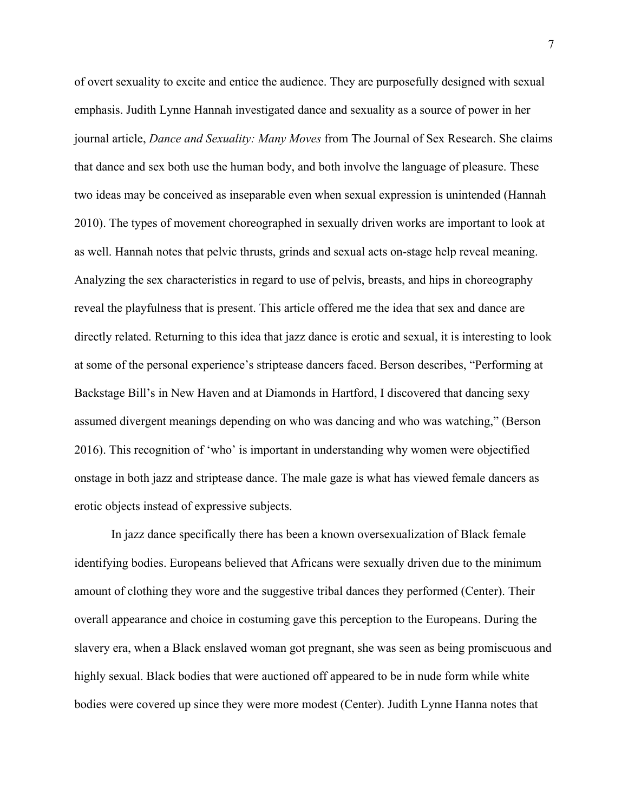of overt sexuality to excite and entice the audience. They are purposefully designed with sexual emphasis. Judith Lynne Hannah investigated dance and sexuality as a source of power in her journal article, *Dance and Sexuality: Many Moves* from The Journal of Sex Research. She claims that dance and sex both use the human body, and both involve the language of pleasure. These two ideas may be conceived as inseparable even when sexual expression is unintended (Hannah 2010). The types of movement choreographed in sexually driven works are important to look at as well. Hannah notes that pelvic thrusts, grinds and sexual acts on-stage help reveal meaning. Analyzing the sex characteristics in regard to use of pelvis, breasts, and hips in choreography reveal the playfulness that is present. This article offered me the idea that sex and dance are directly related. Returning to this idea that jazz dance is erotic and sexual, it is interesting to look at some of the personal experience's striptease dancers faced. Berson describes, "Performing at Backstage Bill's in New Haven and at Diamonds in Hartford, I discovered that dancing sexy assumed divergent meanings depending on who was dancing and who was watching," (Berson 2016). This recognition of 'who' is important in understanding why women were objectified onstage in both jazz and striptease dance. The male gaze is what has viewed female dancers as erotic objects instead of expressive subjects.

In jazz dance specifically there has been a known oversexualization of Black female identifying bodies. Europeans believed that Africans were sexually driven due to the minimum amount of clothing they wore and the suggestive tribal dances they performed (Center). Their overall appearance and choice in costuming gave this perception to the Europeans. During the slavery era, when a Black enslaved woman got pregnant, she was seen as being promiscuous and highly sexual. Black bodies that were auctioned off appeared to be in nude form while white bodies were covered up since they were more modest (Center). Judith Lynne Hanna notes that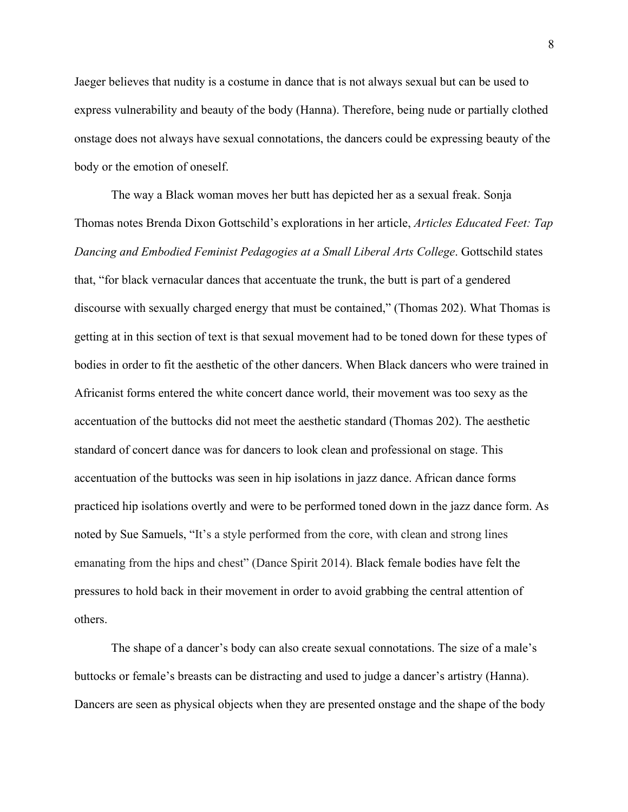Jaeger believes that nudity is a costume in dance that is not always sexual but can be used to express vulnerability and beauty of the body (Hanna). Therefore, being nude or partially clothed onstage does not always have sexual connotations, the dancers could be expressing beauty of the body or the emotion of oneself.

The way a Black woman moves her butt has depicted her as a sexual freak. Sonja Thomas notes Brenda Dixon Gottschild's explorations in her article, *Articles Educated Feet: Tap Dancing and Embodied Feminist Pedagogies at a Small Liberal Arts College*. Gottschild states that, "for black vernacular dances that accentuate the trunk, the butt is part of a gendered discourse with sexually charged energy that must be contained," (Thomas 202). What Thomas is getting at in this section of text is that sexual movement had to be toned down for these types of bodies in order to fit the aesthetic of the other dancers. When Black dancers who were trained in Africanist forms entered the white concert dance world, their movement was too sexy as the accentuation of the buttocks did not meet the aesthetic standard (Thomas 202). The aesthetic standard of concert dance was for dancers to look clean and professional on stage. This accentuation of the buttocks was seen in hip isolations in jazz dance. African dance forms practiced hip isolations overtly and were to be performed toned down in the jazz dance form. As noted by Sue Samuels, "It's a style performed from the core, with clean and strong lines emanating from the hips and chest" (Dance Spirit 2014). Black female bodies have felt the pressures to hold back in their movement in order to avoid grabbing the central attention of others.

The shape of a dancer's body can also create sexual connotations. The size of a male's buttocks or female's breasts can be distracting and used to judge a dancer's artistry (Hanna). Dancers are seen as physical objects when they are presented onstage and the shape of the body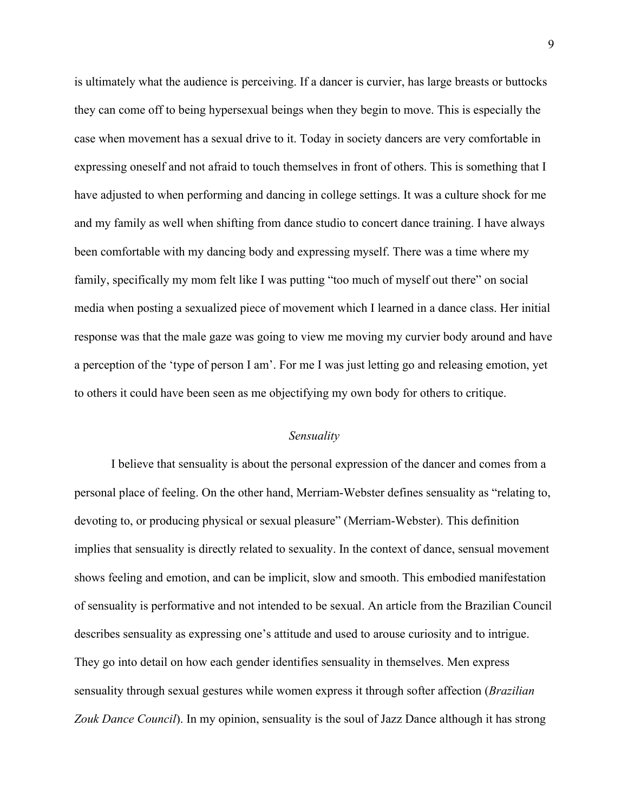is ultimately what the audience is perceiving. If a dancer is curvier, has large breasts or buttocks they can come off to being hypersexual beings when they begin to move. This is especially the case when movement has a sexual drive to it. Today in society dancers are very comfortable in expressing oneself and not afraid to touch themselves in front of others. This is something that I have adjusted to when performing and dancing in college settings. It was a culture shock for me and my family as well when shifting from dance studio to concert dance training. I have always been comfortable with my dancing body and expressing myself. There was a time where my family, specifically my mom felt like I was putting "too much of myself out there" on social media when posting a sexualized piece of movement which I learned in a dance class. Her initial response was that the male gaze was going to view me moving my curvier body around and have a perception of the 'type of person I am'. For me I was just letting go and releasing emotion, yet to others it could have been seen as me objectifying my own body for others to critique.

#### *Sensuality*

I believe that sensuality is about the personal expression of the dancer and comes from a personal place of feeling. On the other hand, Merriam-Webster defines sensuality as "relating to, devoting to, or producing physical or sexual pleasure" (Merriam-Webster). This definition implies that sensuality is directly related to sexuality. In the context of dance, sensual movement shows feeling and emotion, and can be implicit, slow and smooth. This embodied manifestation of sensuality is performative and not intended to be sexual. An article from the Brazilian Council describes sensuality as expressing one's attitude and used to arouse curiosity and to intrigue. They go into detail on how each gender identifies sensuality in themselves. Men express sensuality through sexual gestures while women express it through softer affection (*Brazilian Zouk Dance Council*). In my opinion, sensuality is the soul of Jazz Dance although it has strong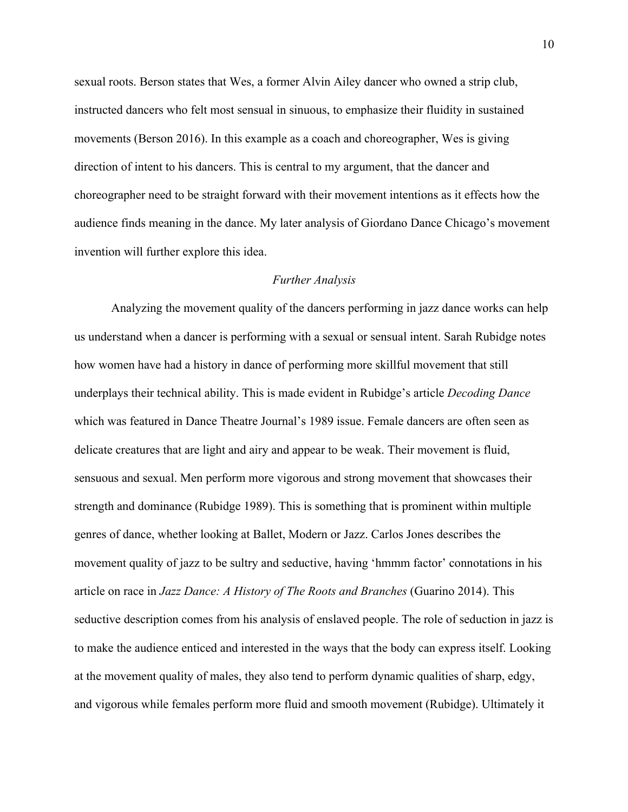sexual roots. Berson states that Wes, a former Alvin Ailey dancer who owned a strip club, instructed dancers who felt most sensual in sinuous, to emphasize their fluidity in sustained movements (Berson 2016). In this example as a coach and choreographer, Wes is giving direction of intent to his dancers. This is central to my argument, that the dancer and choreographer need to be straight forward with their movement intentions as it effects how the audience finds meaning in the dance. My later analysis of Giordano Dance Chicago's movement invention will further explore this idea.

#### *Further Analysis*

Analyzing the movement quality of the dancers performing in jazz dance works can help us understand when a dancer is performing with a sexual or sensual intent. Sarah Rubidge notes how women have had a history in dance of performing more skillful movement that still underplays their technical ability. This is made evident in Rubidge's article *Decoding Dance* which was featured in Dance Theatre Journal's 1989 issue. Female dancers are often seen as delicate creatures that are light and airy and appear to be weak. Their movement is fluid, sensuous and sexual. Men perform more vigorous and strong movement that showcases their strength and dominance (Rubidge 1989). This is something that is prominent within multiple genres of dance, whether looking at Ballet, Modern or Jazz. Carlos Jones describes the movement quality of jazz to be sultry and seductive, having 'hmmm factor' connotations in his article on race in *Jazz Dance: A History of The Roots and Branches* (Guarino 2014). This seductive description comes from his analysis of enslaved people. The role of seduction in jazz is to make the audience enticed and interested in the ways that the body can express itself. Looking at the movement quality of males, they also tend to perform dynamic qualities of sharp, edgy, and vigorous while females perform more fluid and smooth movement (Rubidge). Ultimately it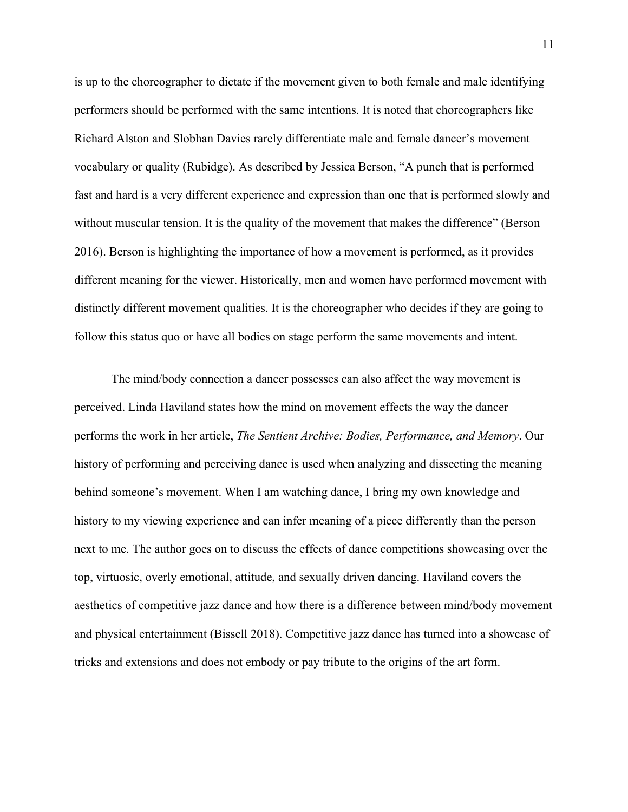is up to the choreographer to dictate if the movement given to both female and male identifying performers should be performed with the same intentions. It is noted that choreographers like Richard Alston and Slobhan Davies rarely differentiate male and female dancer's movement vocabulary or quality (Rubidge). As described by Jessica Berson, "A punch that is performed fast and hard is a very different experience and expression than one that is performed slowly and without muscular tension. It is the quality of the movement that makes the difference" (Berson 2016). Berson is highlighting the importance of how a movement is performed, as it provides different meaning for the viewer. Historically, men and women have performed movement with distinctly different movement qualities. It is the choreographer who decides if they are going to follow this status quo or have all bodies on stage perform the same movements and intent.

The mind/body connection a dancer possesses can also affect the way movement is perceived. Linda Haviland states how the mind on movement effects the way the dancer performs the work in her article, *The Sentient Archive: Bodies, Performance, and Memory*. Our history of performing and perceiving dance is used when analyzing and dissecting the meaning behind someone's movement. When I am watching dance, I bring my own knowledge and history to my viewing experience and can infer meaning of a piece differently than the person next to me. The author goes on to discuss the effects of dance competitions showcasing over the top, virtuosic, overly emotional, attitude, and sexually driven dancing. Haviland covers the aesthetics of competitive jazz dance and how there is a difference between mind/body movement and physical entertainment (Bissell 2018). Competitive jazz dance has turned into a showcase of tricks and extensions and does not embody or pay tribute to the origins of the art form.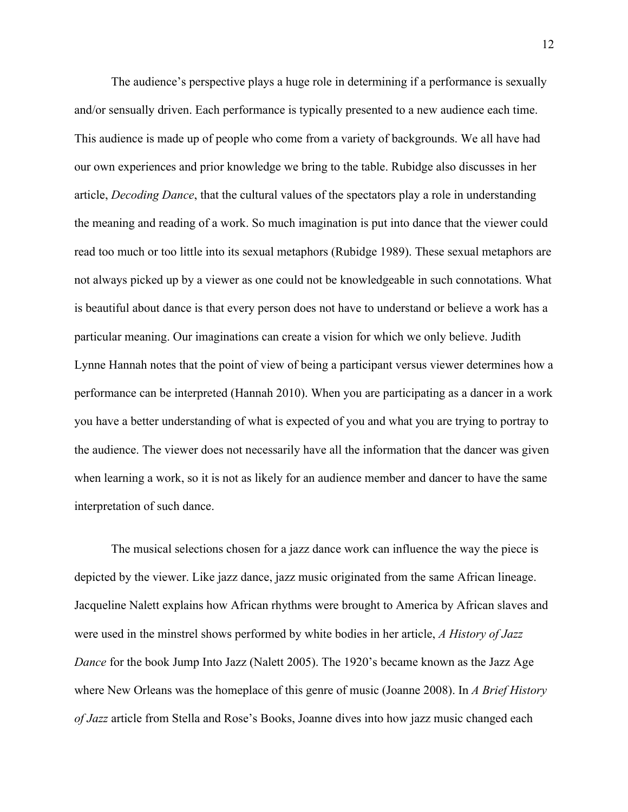The audience's perspective plays a huge role in determining if a performance is sexually and/or sensually driven. Each performance is typically presented to a new audience each time. This audience is made up of people who come from a variety of backgrounds. We all have had our own experiences and prior knowledge we bring to the table. Rubidge also discusses in her article, *Decoding Dance*, that the cultural values of the spectators play a role in understanding the meaning and reading of a work. So much imagination is put into dance that the viewer could read too much or too little into its sexual metaphors (Rubidge 1989). These sexual metaphors are not always picked up by a viewer as one could not be knowledgeable in such connotations. What is beautiful about dance is that every person does not have to understand or believe a work has a particular meaning. Our imaginations can create a vision for which we only believe. Judith Lynne Hannah notes that the point of view of being a participant versus viewer determines how a performance can be interpreted (Hannah 2010). When you are participating as a dancer in a work you have a better understanding of what is expected of you and what you are trying to portray to the audience. The viewer does not necessarily have all the information that the dancer was given when learning a work, so it is not as likely for an audience member and dancer to have the same interpretation of such dance.

The musical selections chosen for a jazz dance work can influence the way the piece is depicted by the viewer. Like jazz dance, jazz music originated from the same African lineage. Jacqueline Nalett explains how African rhythms were brought to America by African slaves and were used in the minstrel shows performed by white bodies in her article, *A History of Jazz Dance* for the book Jump Into Jazz (Nalett 2005). The 1920's became known as the Jazz Age where New Orleans was the homeplace of this genre of music (Joanne 2008). In *A Brief History of Jazz* article from Stella and Rose's Books, Joanne dives into how jazz music changed each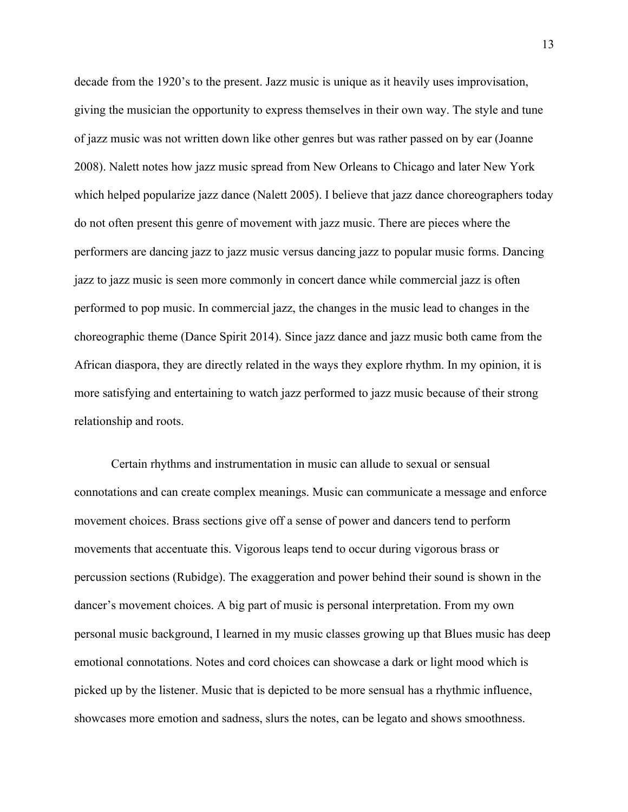decade from the 1920's to the present. Jazz music is unique as it heavily uses improvisation, giving the musician the opportunity to express themselves in their own way. The style and tune of jazz music was not written down like other genres but was rather passed on by ear (Joanne 2008). Nalett notes how jazz music spread from New Orleans to Chicago and later New York which helped popularize jazz dance (Nalett 2005). I believe that jazz dance choreographers today do not often present this genre of movement with jazz music. There are pieces where the performers are dancing jazz to jazz music versus dancing jazz to popular music forms. Dancing jazz to jazz music is seen more commonly in concert dance while commercial jazz is often performed to pop music. In commercial jazz, the changes in the music lead to changes in the choreographic theme (Dance Spirit 2014). Since jazz dance and jazz music both came from the African diaspora, they are directly related in the ways they explore rhythm. In my opinion, it is more satisfying and entertaining to watch jazz performed to jazz music because of their strong relationship and roots.

Certain rhythms and instrumentation in music can allude to sexual or sensual connotations and can create complex meanings. Music can communicate a message and enforce movement choices. Brass sections give off a sense of power and dancers tend to perform movements that accentuate this. Vigorous leaps tend to occur during vigorous brass or percussion sections (Rubidge). The exaggeration and power behind their sound is shown in the dancer's movement choices. A big part of music is personal interpretation. From my own personal music background, I learned in my music classes growing up that Blues music has deep emotional connotations. Notes and cord choices can showcase a dark or light mood which is picked up by the listener. Music that is depicted to be more sensual has a rhythmic influence, showcases more emotion and sadness, slurs the notes, can be legato and shows smoothness.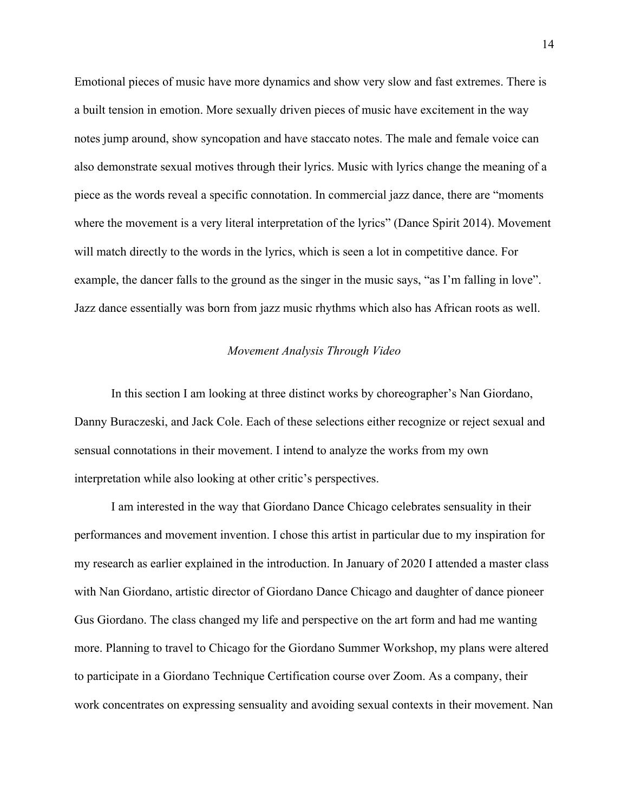Emotional pieces of music have more dynamics and show very slow and fast extremes. There is a built tension in emotion. More sexually driven pieces of music have excitement in the way notes jump around, show syncopation and have staccato notes. The male and female voice can also demonstrate sexual motives through their lyrics. Music with lyrics change the meaning of a piece as the words reveal a specific connotation. In commercial jazz dance, there are "moments where the movement is a very literal interpretation of the lyrics" (Dance Spirit 2014). Movement will match directly to the words in the lyrics, which is seen a lot in competitive dance. For example, the dancer falls to the ground as the singer in the music says, "as I'm falling in love". Jazz dance essentially was born from jazz music rhythms which also has African roots as well.

## *Movement Analysis Through Video*

In this section I am looking at three distinct works by choreographer's Nan Giordano, Danny Buraczeski, and Jack Cole. Each of these selections either recognize or reject sexual and sensual connotations in their movement. I intend to analyze the works from my own interpretation while also looking at other critic's perspectives.

I am interested in the way that Giordano Dance Chicago celebrates sensuality in their performances and movement invention. I chose this artist in particular due to my inspiration for my research as earlier explained in the introduction. In January of 2020 I attended a master class with Nan Giordano, artistic director of Giordano Dance Chicago and daughter of dance pioneer Gus Giordano. The class changed my life and perspective on the art form and had me wanting more. Planning to travel to Chicago for the Giordano Summer Workshop, my plans were altered to participate in a Giordano Technique Certification course over Zoom. As a company, their work concentrates on expressing sensuality and avoiding sexual contexts in their movement. Nan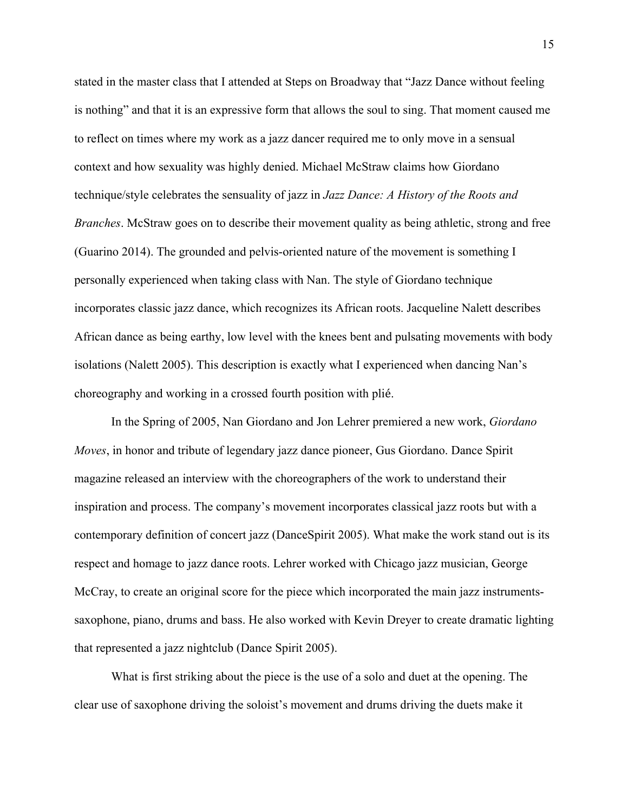stated in the master class that I attended at Steps on Broadway that "Jazz Dance without feeling is nothing" and that it is an expressive form that allows the soul to sing. That moment caused me to reflect on times where my work as a jazz dancer required me to only move in a sensual context and how sexuality was highly denied. Michael McStraw claims how Giordano technique/style celebrates the sensuality of jazz in *Jazz Dance: A History of the Roots and Branches*. McStraw goes on to describe their movement quality as being athletic, strong and free (Guarino 2014). The grounded and pelvis-oriented nature of the movement is something I personally experienced when taking class with Nan. The style of Giordano technique incorporates classic jazz dance, which recognizes its African roots. Jacqueline Nalett describes African dance as being earthy, low level with the knees bent and pulsating movements with body isolations (Nalett 2005). This description is exactly what I experienced when dancing Nan's choreography and working in a crossed fourth position with plié.

In the Spring of 2005, Nan Giordano and Jon Lehrer premiered a new work, *Giordano Moves*, in honor and tribute of legendary jazz dance pioneer, Gus Giordano. Dance Spirit magazine released an interview with the choreographers of the work to understand their inspiration and process. The company's movement incorporates classical jazz roots but with a contemporary definition of concert jazz (DanceSpirit 2005). What make the work stand out is its respect and homage to jazz dance roots. Lehrer worked with Chicago jazz musician, George McCray, to create an original score for the piece which incorporated the main jazz instrumentssaxophone, piano, drums and bass. He also worked with Kevin Dreyer to create dramatic lighting that represented a jazz nightclub (Dance Spirit 2005).

What is first striking about the piece is the use of a solo and duet at the opening. The clear use of saxophone driving the soloist's movement and drums driving the duets make it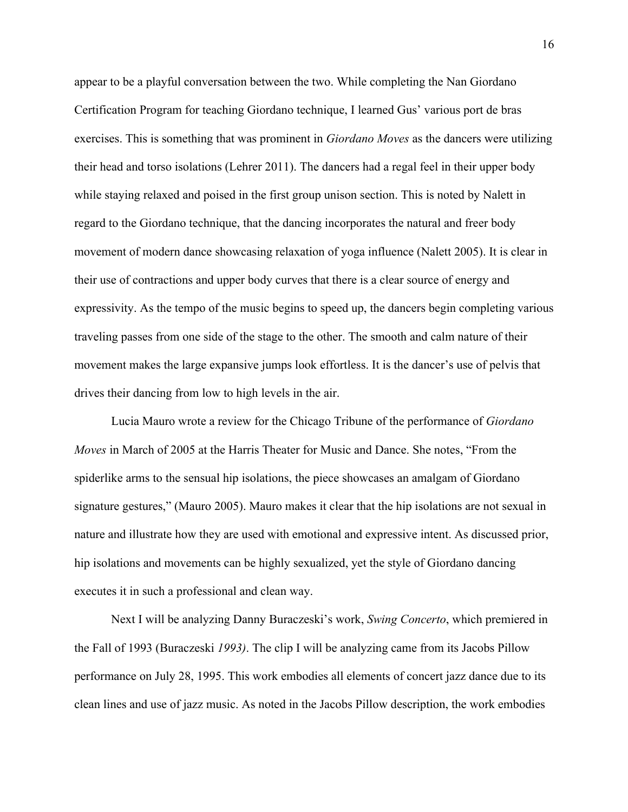appear to be a playful conversation between the two. While completing the Nan Giordano Certification Program for teaching Giordano technique, I learned Gus' various port de bras exercises. This is something that was prominent in *Giordano Moves* as the dancers were utilizing their head and torso isolations (Lehrer 2011). The dancers had a regal feel in their upper body while staying relaxed and poised in the first group unison section. This is noted by Nalett in regard to the Giordano technique, that the dancing incorporates the natural and freer body movement of modern dance showcasing relaxation of yoga influence (Nalett 2005). It is clear in their use of contractions and upper body curves that there is a clear source of energy and expressivity. As the tempo of the music begins to speed up, the dancers begin completing various traveling passes from one side of the stage to the other. The smooth and calm nature of their movement makes the large expansive jumps look effortless. It is the dancer's use of pelvis that drives their dancing from low to high levels in the air.

Lucia Mauro wrote a review for the Chicago Tribune of the performance of *Giordano Moves* in March of 2005 at the Harris Theater for Music and Dance. She notes, "From the spiderlike arms to the sensual hip isolations, the piece showcases an amalgam of Giordano signature gestures," (Mauro 2005). Mauro makes it clear that the hip isolations are not sexual in nature and illustrate how they are used with emotional and expressive intent. As discussed prior, hip isolations and movements can be highly sexualized, yet the style of Giordano dancing executes it in such a professional and clean way.

Next I will be analyzing Danny Buraczeski's work, *Swing Concerto*, which premiered in the Fall of 1993 (Buraczeski *1993)*. The clip I will be analyzing came from its Jacobs Pillow performance on July 28, 1995. This work embodies all elements of concert jazz dance due to its clean lines and use of jazz music. As noted in the Jacobs Pillow description, the work embodies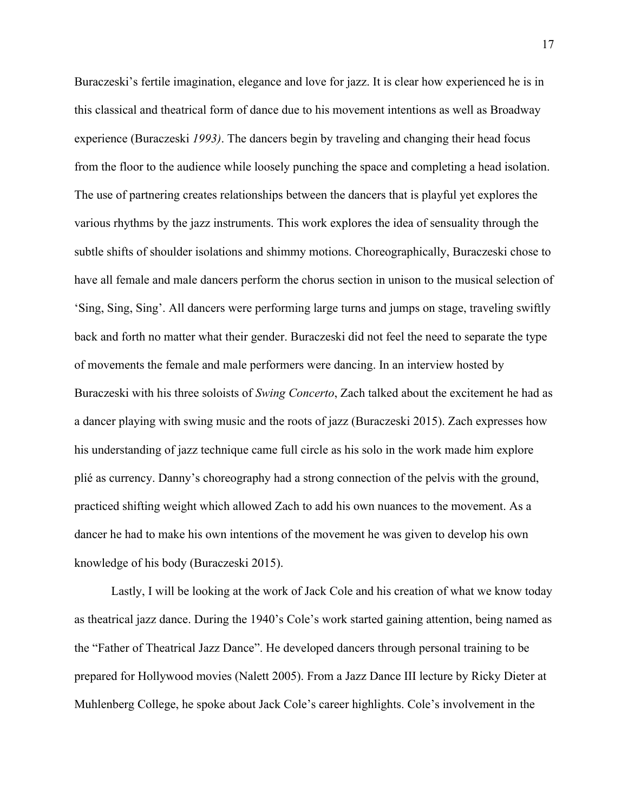Buraczeski's fertile imagination, elegance and love for jazz. It is clear how experienced he is in this classical and theatrical form of dance due to his movement intentions as well as Broadway experience (Buraczeski *1993)*. The dancers begin by traveling and changing their head focus from the floor to the audience while loosely punching the space and completing a head isolation. The use of partnering creates relationships between the dancers that is playful yet explores the various rhythms by the jazz instruments. This work explores the idea of sensuality through the subtle shifts of shoulder isolations and shimmy motions. Choreographically, Buraczeski chose to have all female and male dancers perform the chorus section in unison to the musical selection of 'Sing, Sing, Sing'. All dancers were performing large turns and jumps on stage, traveling swiftly back and forth no matter what their gender. Buraczeski did not feel the need to separate the type of movements the female and male performers were dancing. In an interview hosted by Buraczeski with his three soloists of *Swing Concerto*, Zach talked about the excitement he had as a dancer playing with swing music and the roots of jazz (Buraczeski 2015). Zach expresses how his understanding of jazz technique came full circle as his solo in the work made him explore plié as currency. Danny's choreography had a strong connection of the pelvis with the ground, practiced shifting weight which allowed Zach to add his own nuances to the movement. As a dancer he had to make his own intentions of the movement he was given to develop his own knowledge of his body (Buraczeski 2015).

Lastly, I will be looking at the work of Jack Cole and his creation of what we know today as theatrical jazz dance. During the 1940's Cole's work started gaining attention, being named as the "Father of Theatrical Jazz Dance". He developed dancers through personal training to be prepared for Hollywood movies (Nalett 2005). From a Jazz Dance III lecture by Ricky Dieter at Muhlenberg College, he spoke about Jack Cole's career highlights. Cole's involvement in the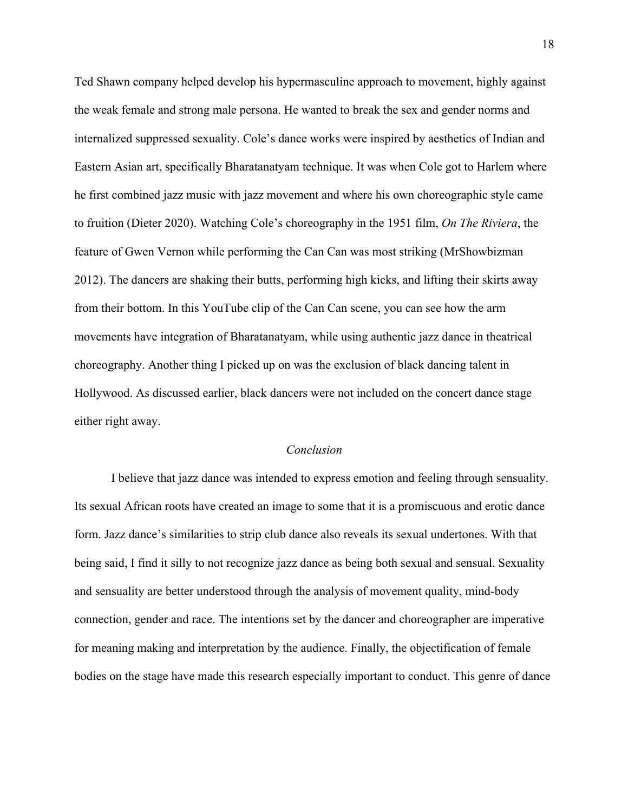Ted Shawn company helped develop his hypermasculine approach to movement, highly against the weak female and strong male persona. He wanted to break the sex and gender norms and internalized suppressed sexuality. Cole's dance works were inspired by aesthetics of Indian and Eastern Asian art, specifically Bharatanatyam technique. It was when Cole got to Harlem where he first combined jazz music with jazz movement and where his own choreographic style came to fruition (Dieter 2020). Watching Cole's choreography in the 1951 film, *On The Riviera*, the feature of Gwen Vernon while performing the Can Can was most striking (MrShowbizman 2012). The dancers are shaking their butts, performing high kicks, and lifting their skirts away from their bottom. In this YouTube clip of the Can Can scene, you can see how the arm movements have integration of Bharatanatyam, while using authentic jazz dance in theatrical choreography. Another thing I picked up on was the exclusion of black dancing talent in Hollywood. As discussed earlier, black dancers were not included on the concert dance stage either right away.

## *Conclusion*

I believe that jazz dance was intended to express emotion and feeling through sensuality. Its sexual African roots have created an image to some that it is a promiscuous and erotic dance form. Jazz dance's similarities to strip club dance also reveals its sexual undertones. With that being said, I find it silly to not recognize jazz dance as being both sexual and sensual. Sexuality and sensuality are better understood through the analysis of movement quality, mind-body connection, gender and race. The intentions set by the dancer and choreographer are imperative for meaning making and interpretation by the audience. Finally, the objectification of female bodies on the stage have made this research especially important to conduct. This genre of dance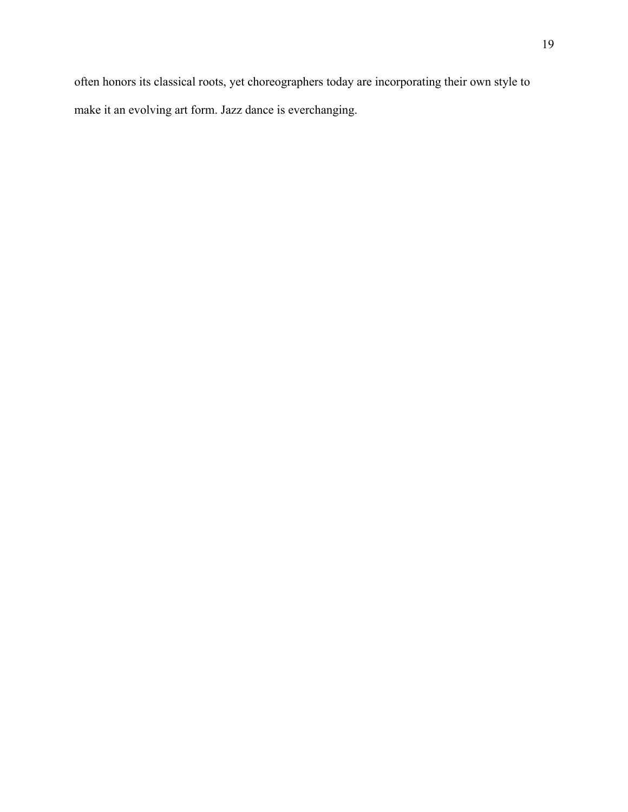often honors its classical roots, yet choreographers today are incorporating their own style to make it an evolving art form. Jazz dance is everchanging.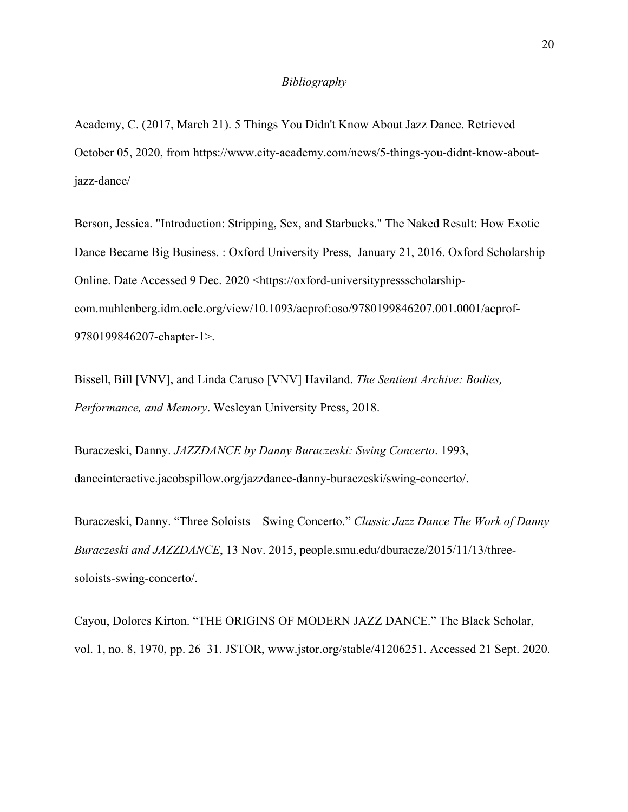## *Bibliography*

Academy, C. (2017, March 21). 5 Things You Didn't Know About Jazz Dance. Retrieved October 05, 2020, from https://www.city-academy.com/news/5-things-you-didnt-know-aboutjazz-dance/

Berson, Jessica. "Introduction: Stripping, Sex, and Starbucks." The Naked Result: How Exotic Dance Became Big Business. : Oxford University Press, January 21, 2016. Oxford Scholarship Online. Date Accessed 9 Dec. 2020 <https://oxford-universitypressscholarshipcom.muhlenberg.idm.oclc.org/view/10.1093/acprof:oso/9780199846207.001.0001/acprof-9780199846207-chapter-1>.

Bissell, Bill [VNV], and Linda Caruso [VNV] Haviland. *The Sentient Archive: Bodies, Performance, and Memory*. Wesleyan University Press, 2018.

Buraczeski, Danny. *JAZZDANCE by Danny Buraczeski: Swing Concerto*. 1993, danceinteractive.jacobspillow.org/jazzdance-danny-buraczeski/swing-concerto/.

Buraczeski, Danny. "Three Soloists – Swing Concerto." *Classic Jazz Dance The Work of Danny Buraczeski and JAZZDANCE*, 13 Nov. 2015, people.smu.edu/dburacze/2015/11/13/threesoloists-swing-concerto/.

Cayou, Dolores Kirton. "THE ORIGINS OF MODERN JAZZ DANCE." The Black Scholar, vol. 1, no. 8, 1970, pp. 26–31. JSTOR, www.jstor.org/stable/41206251. Accessed 21 Sept. 2020.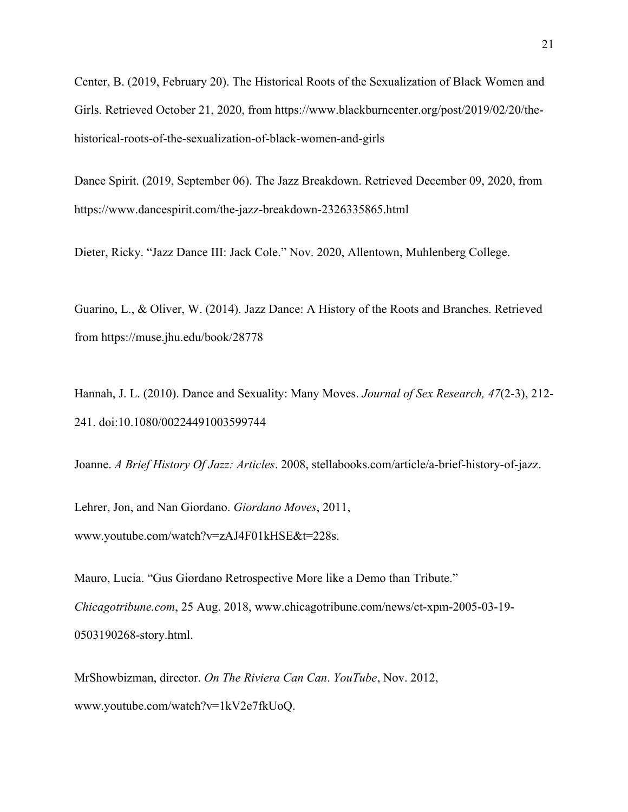Center, B. (2019, February 20). The Historical Roots of the Sexualization of Black Women and Girls. Retrieved October 21, 2020, from https://www.blackburncenter.org/post/2019/02/20/thehistorical-roots-of-the-sexualization-of-black-women-and-girls

Dance Spirit. (2019, September 06). The Jazz Breakdown. Retrieved December 09, 2020, from https://www.dancespirit.com/the-jazz-breakdown-2326335865.html

Dieter, Ricky. "Jazz Dance III: Jack Cole." Nov. 2020, Allentown, Muhlenberg College.

Guarino, L., & Oliver, W. (2014). Jazz Dance: A History of the Roots and Branches. Retrieved from https://muse.jhu.edu/book/28778

Hannah, J. L. (2010). Dance and Sexuality: Many Moves. *Journal of Sex Research, 47*(2-3), 212- 241. doi:10.1080/00224491003599744

Joanne. *A Brief History Of Jazz: Articles*. 2008, stellabooks.com/article/a-brief-history-of-jazz.

Lehrer, Jon, and Nan Giordano. *Giordano Moves*, 2011, www.youtube.com/watch?v=zAJ4F01kHSE&t=228s.

Mauro, Lucia. "Gus Giordano Retrospective More like a Demo than Tribute." *Chicagotribune.com*, 25 Aug. 2018, www.chicagotribune.com/news/ct-xpm-2005-03-19- 0503190268-story.html.

MrShowbizman, director. *On The Riviera Can Can*. *YouTube*, Nov. 2012, www.youtube.com/watch?v=1kV2e7fkUoQ.